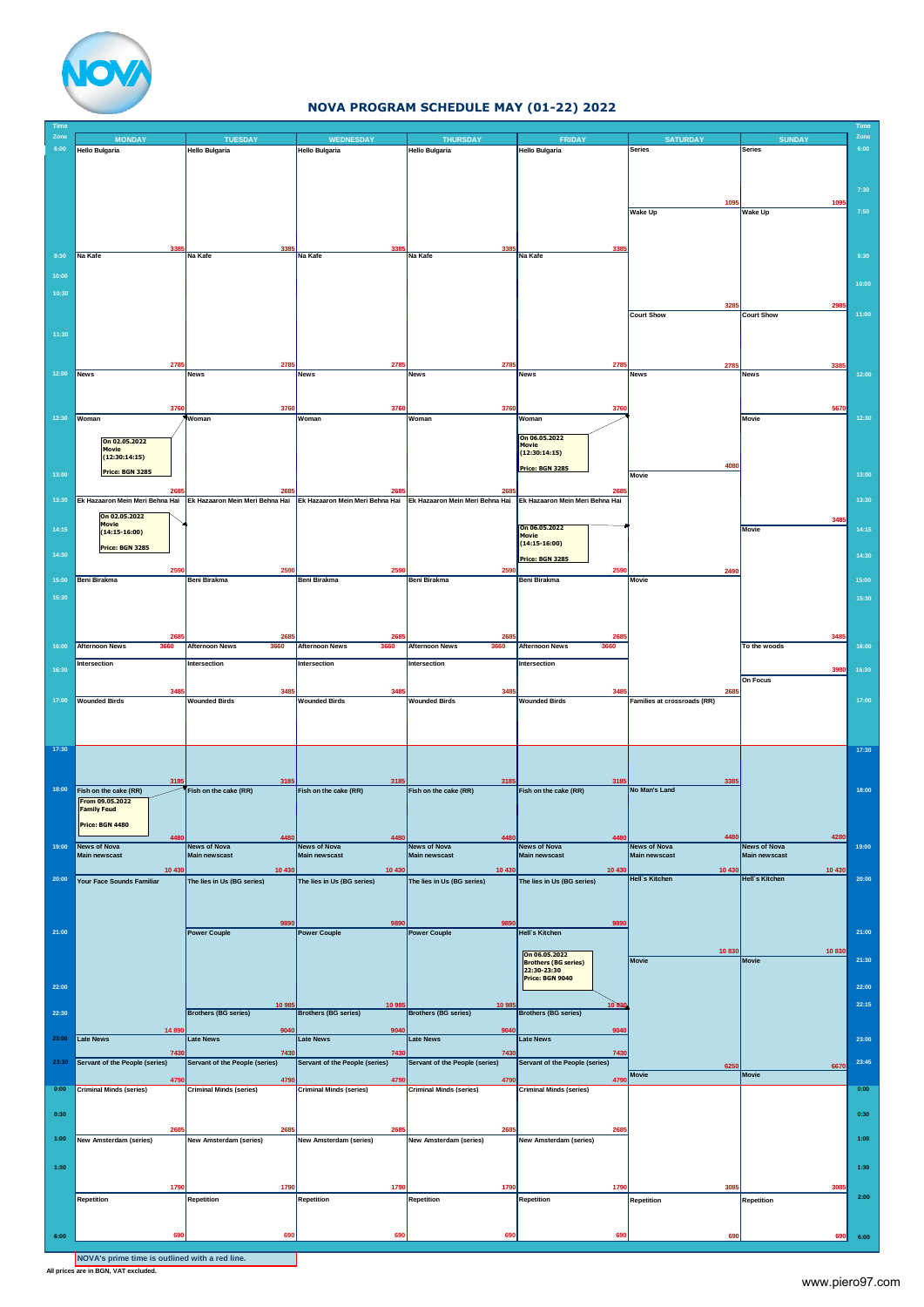

### **NOVA PROGRAM SCHEDULE MAY (01-22) 2022**

| Time<br>Zone |                                             |                                         |                                                                 | <b>THURSDAY</b>                       |                                              | <b>SATURDAY</b>                      |                                      | Time<br>Zone |
|--------------|---------------------------------------------|-----------------------------------------|-----------------------------------------------------------------|---------------------------------------|----------------------------------------------|--------------------------------------|--------------------------------------|--------------|
| 6:00         | <b>MONDAY</b><br><b>Hello Bulgaria</b>      | <b>TUESDAY</b><br><b>Hello Bulgaria</b> | <b>WEDNESDAY</b><br><b>Hello Bulgaria</b>                       | Hello Bulgaria                        | <b>FRIDAY</b><br><b>Hello Bulgaria</b>       | <b>Series</b>                        | <b>SUNDAY</b><br><b>Series</b>       | 6:00         |
|              |                                             |                                         |                                                                 |                                       |                                              |                                      |                                      |              |
|              |                                             |                                         |                                                                 |                                       |                                              |                                      |                                      |              |
|              |                                             |                                         |                                                                 |                                       |                                              |                                      |                                      | 7:30         |
|              |                                             |                                         |                                                                 |                                       |                                              | 109                                  | 1095                                 |              |
|              |                                             |                                         |                                                                 |                                       |                                              | <b>Wake Up</b>                       | <b>Wake Up</b>                       | 7:50         |
|              |                                             |                                         |                                                                 |                                       |                                              |                                      |                                      |              |
|              |                                             |                                         |                                                                 |                                       |                                              |                                      |                                      |              |
| 9:30         | Na Kafe                                     | Na Kafe                                 | Na Kafe                                                         | Na Kafe                               | Na Kafe                                      |                                      |                                      | 9:30         |
|              |                                             |                                         |                                                                 |                                       |                                              |                                      |                                      |              |
| 10:00        |                                             |                                         |                                                                 |                                       |                                              |                                      |                                      | 10:00        |
| 10:30        |                                             |                                         |                                                                 |                                       |                                              |                                      |                                      |              |
|              |                                             |                                         |                                                                 |                                       |                                              | 328<br><b>Court Show</b>             | 298<br><b>Court Show</b>             | 11:00        |
|              |                                             |                                         |                                                                 |                                       |                                              |                                      |                                      |              |
| 11:30        |                                             |                                         |                                                                 |                                       |                                              |                                      |                                      |              |
|              |                                             |                                         |                                                                 |                                       |                                              |                                      |                                      |              |
|              | 2785                                        | 2785                                    | 2785                                                            | 2785                                  | 2785                                         | 2785                                 | 3385                                 |              |
| 12:00        | News                                        | <b>News</b>                             | News                                                            | News                                  | News                                         | News                                 | <b>News</b>                          | 12:00        |
|              |                                             |                                         |                                                                 |                                       |                                              |                                      |                                      |              |
|              | 3760                                        | 3760                                    | 3760                                                            | 3760                                  | 3760                                         |                                      | 5670                                 |              |
| 12:30        | Woman                                       | Woman                                   | Woman                                                           | Woman                                 | Woman                                        |                                      | <b>Movie</b>                         | 12:30        |
|              |                                             |                                         |                                                                 |                                       | On 06.05.2022                                |                                      |                                      |              |
|              | On 02.05.2022<br><b>Movie</b>               |                                         |                                                                 |                                       | Movie                                        |                                      |                                      |              |
|              | (12:30:14:15)                               |                                         |                                                                 |                                       | (12:30:14:15)                                |                                      |                                      |              |
| 13:00        | <b>Price: BGN 3285</b>                      |                                         |                                                                 |                                       | <b>Price: BGN 3285</b>                       | 4080<br>Movie                        |                                      | 13:00        |
|              | 268                                         | 268                                     | 268                                                             | 268                                   | 268                                          |                                      |                                      |              |
| 13:30        | Ek Hazaaron Mein Meri Behna Hai             | Ek Hazaaron Mein Meri Behna Hai         | Ek Hazaaron Mein Meri Behna Hai Ek Hazaaron Mein Meri Behna Hai |                                       | Ek Hazaaron Mein Meri Behna Hai              |                                      |                                      | 13:30        |
|              | On 02.05.2022                               |                                         |                                                                 |                                       |                                              |                                      |                                      |              |
| 14:15        | Movie                                       |                                         |                                                                 |                                       | On 06.05.2022                                |                                      | 3485<br><b>Movie</b>                 | 14:15        |
|              | $(14:15-16:00)$                             |                                         |                                                                 |                                       | Movie<br>$(14:15-16:00)$                     |                                      |                                      |              |
| 14:30        | Price: BGN 3285                             |                                         |                                                                 |                                       |                                              |                                      |                                      | 14:30        |
|              | 259                                         | 2590                                    | 259                                                             | 259                                   | <b>Price: BGN 3285</b><br>2590               | 2490                                 |                                      |              |
| 15:00        | Beni Birakma                                | Beni Birakma                            | Beni Birakma                                                    | Beni Birakma                          | Beni Birakma                                 | Movie                                |                                      | 15:00        |
| 15:30        |                                             |                                         |                                                                 |                                       |                                              |                                      |                                      | 15:30        |
|              |                                             |                                         |                                                                 |                                       |                                              |                                      |                                      |              |
|              |                                             |                                         |                                                                 |                                       |                                              |                                      |                                      |              |
|              | 268                                         | 268                                     | 268                                                             | 268                                   | 2685                                         |                                      | 3485                                 |              |
| 16:00        | <b>Afternoon News</b><br>3660               | <b>Afternoon News</b><br>3660           | <b>Afternoon News</b><br>3660                                   | Afternoon News<br>3660                | Afternoon News<br>3660                       |                                      | To the woods                         | 16:00        |
|              | Intersection                                | Intersection                            | Intersection                                                    | Intersection                          | Intersection                                 |                                      |                                      |              |
| 16:30        |                                             |                                         |                                                                 |                                       |                                              |                                      | 3980                                 | 16:30        |
|              | 3485                                        | 3485                                    | 3485                                                            | 3485                                  | 3485                                         | 2685                                 | On Focus                             |              |
| 17:00        | <b>Wounded Birds</b>                        | <b>Wounded Birds</b>                    | <b>Wounded Birds</b>                                            | <b>Wounded Birds</b>                  | <b>Wounded Birds</b>                         | Families at crossroads (RR)          |                                      | 17:00        |
|              |                                             |                                         |                                                                 |                                       |                                              |                                      |                                      |              |
|              |                                             |                                         |                                                                 |                                       |                                              |                                      |                                      |              |
|              |                                             |                                         |                                                                 |                                       |                                              |                                      |                                      |              |
| 17:30        |                                             |                                         |                                                                 |                                       |                                              |                                      |                                      | 17:30        |
|              |                                             |                                         |                                                                 |                                       |                                              |                                      |                                      |              |
|              | 318                                         | 3185                                    | 318                                                             | 318                                   | 3185                                         | 3385                                 |                                      |              |
| 18:00        | Fish on the cake (RR)<br>From 09.05.2022    | Fish on the cake (RR)                   | Fish on the cake (RR)                                           | Fish on the cake (RR)                 | Fish on the cake (RR)                        | No Man's Land                        |                                      | 18:00        |
|              | <b>Family Feud</b>                          |                                         |                                                                 |                                       |                                              |                                      |                                      |              |
|              | Price: BGN 4480                             |                                         |                                                                 |                                       |                                              |                                      |                                      |              |
|              | 4480                                        | 4480                                    | 4480                                                            | 4480                                  | 4480                                         | 4480                                 | 4280                                 |              |
| 19:00        | <b>News of Nova</b><br><b>Main newscast</b> | <b>News of Nova</b><br>Main newscast    | <b>News of Nova</b><br>Main newscast                            | News of Nova<br>Main newscast         | <b>News of Nova</b><br>Main newscast         | <b>News of Nova</b><br>Main newscast | <b>News of Nova</b><br>Main newscast | 19:00        |
|              |                                             |                                         |                                                                 |                                       |                                              |                                      |                                      |              |
| 20:00        | 10 430<br>Your Face Sounds Familiar         | 10 430<br>The lies in Us (BG series)    | 10 430<br>The lies in Us (BG series)                            | 10 430<br>The lies in Us (BG series)  | 10 430<br>The lies in Us (BG series)         | 10 430<br><b>Hell's Kitchen</b>      | 10 430<br><b>Hell's Kitchen</b>      | 20:00        |
|              |                                             |                                         |                                                                 |                                       |                                              |                                      |                                      |              |
|              |                                             |                                         |                                                                 |                                       |                                              |                                      |                                      |              |
|              |                                             | 989                                     | 989                                                             | 989                                   | 9890                                         |                                      |                                      |              |
| 21:00        |                                             | <b>Power Couple</b>                     | <b>Power Couple</b>                                             | <b>Power Couple</b>                   | Hell's Kitchen                               |                                      |                                      | 21:00        |
|              |                                             |                                         |                                                                 |                                       |                                              |                                      |                                      |              |
|              |                                             |                                         |                                                                 |                                       | On 06.05.2022<br><b>Brothers (BG series)</b> | 10830<br>Movie                       | 10830<br><b>Movie</b>                | 21:30        |
|              |                                             |                                         |                                                                 |                                       | 22:30-23:30<br>Price: BGN 9040               |                                      |                                      |              |
| 22:00        |                                             |                                         |                                                                 |                                       |                                              |                                      |                                      | 22:00        |
|              |                                             | 10 98                                   | 10 98                                                           | 10 98                                 | 1083                                         |                                      |                                      | 22:15        |
| 22:30        |                                             | <b>Brothers (BG series)</b>             | <b>Brothers (BG series)</b>                                     | <b>Brothers (BG series)</b>           | <b>Brothers (BG series)</b>                  |                                      |                                      |              |
|              | 1489                                        | 904                                     | 9040                                                            | 9040                                  | 9040                                         |                                      |                                      |              |
| 23:00        | <b>Late News</b>                            | <b>Late News</b>                        | Late News                                                       | Late News                             | <b>Late News</b>                             |                                      |                                      | 23:00        |
|              | 7430                                        | 7430                                    | 7430                                                            | 7430                                  | 7430                                         |                                      |                                      |              |
| 23:30        | <b>Servant of the People (series)</b>       | Servant of the People (series)          | <b>Servant of the People (series)</b>                           | <b>Servant of the People (series)</b> | <b>Servant of the People (series)</b>        | 6250                                 | 6670                                 | 23:45        |
|              | 479                                         | 479                                     | 479                                                             | 479                                   | 4790                                         | Movie                                | Movie                                |              |
| 0:00         | <b>Criminal Minds (series)</b>              | <b>Criminal Minds (series)</b>          | <b>Criminal Minds (series)</b>                                  | <b>Criminal Minds (series)</b>        | <b>Criminal Minds (series)</b>               |                                      |                                      | 0:00         |
|              |                                             |                                         |                                                                 |                                       |                                              |                                      |                                      |              |
| 0:30         |                                             |                                         |                                                                 |                                       |                                              |                                      |                                      | 0:30         |
| 1:00         | 268                                         | 2685                                    | 268                                                             | 268                                   | 268                                          |                                      |                                      | 1:00         |
|              | New Amsterdam (series)                      | New Amsterdam (series)                  | New Amsterdam (series)                                          | New Amsterdam (series)                | New Amsterdam (series)                       |                                      |                                      |              |
|              |                                             |                                         |                                                                 |                                       |                                              |                                      |                                      |              |
| 1:30         |                                             |                                         |                                                                 |                                       |                                              |                                      |                                      | 1:30         |
|              | 1790                                        | 1790                                    | 1790                                                            | 1790                                  | 1790                                         | 3085                                 | 308                                  |              |
|              | Repetition                                  | Repetition                              | Repetition                                                      | Repetition                            | Repetition                                   | Repetition                           | Repetition                           | 2:00         |
|              |                                             |                                         |                                                                 |                                       |                                              |                                      |                                      |              |
|              | 69                                          | 690                                     | 69                                                              | 69                                    | 690                                          |                                      |                                      |              |
| 6:00         |                                             |                                         |                                                                 |                                       |                                              | 69                                   | 690                                  | 6:00         |

**All prices are in BGN, VAT excluded.**<br>All prices are in BGN, VAT excluded.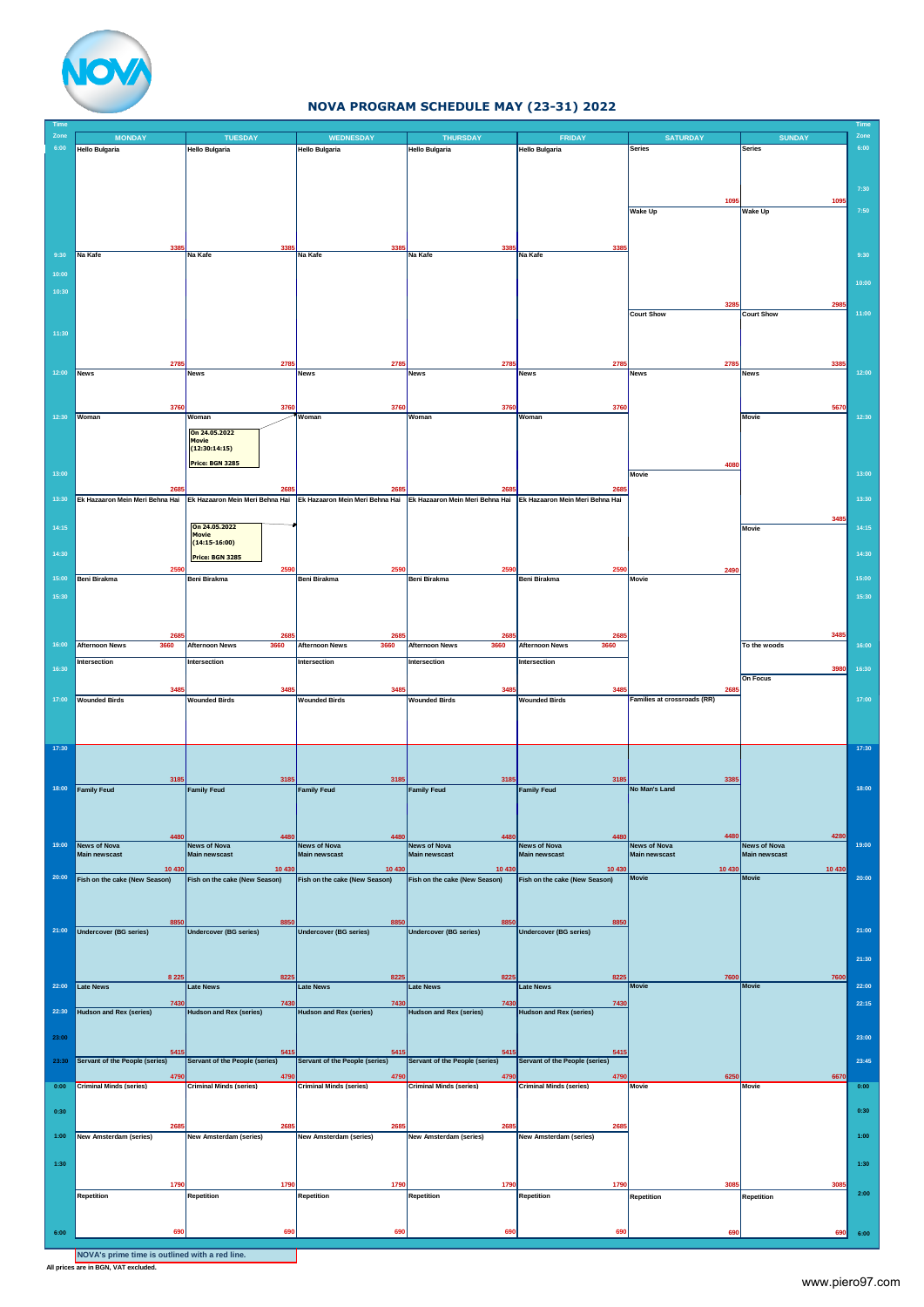

## **NOVA PROGRAM SCHEDULE MAY (23-31) 2022**

| Time<br>Zone |                                         |                                         |                                                                 |                                                                 |                                         |                                      |                                             | Time<br>Zone |
|--------------|-----------------------------------------|-----------------------------------------|-----------------------------------------------------------------|-----------------------------------------------------------------|-----------------------------------------|--------------------------------------|---------------------------------------------|--------------|
| 6:00         | <b>MONDAY</b><br><b>Hello Bulgaria</b>  | <b>TUESDAY</b><br><b>Hello Bulgaria</b> | <b>WEDNESDAY</b><br><b>Hello Bulgaria</b>                       | <b>THURSDAY</b><br><b>Hello Bulgaria</b>                        | <b>FRIDAY</b><br><b>Hello Bulgaria</b>  | <b>SATURDAY</b><br><b>Series</b>     | <b>SUNDAY</b><br><b>Series</b>              | 6:00         |
|              |                                         |                                         |                                                                 |                                                                 |                                         |                                      |                                             |              |
|              |                                         |                                         |                                                                 |                                                                 |                                         |                                      |                                             |              |
|              |                                         |                                         |                                                                 |                                                                 |                                         |                                      |                                             | 7:30         |
|              |                                         |                                         |                                                                 |                                                                 |                                         | 1095                                 | 109                                         |              |
|              |                                         |                                         |                                                                 |                                                                 |                                         | <b>Wake Up</b>                       | <b>Wake Up</b>                              | 7:50         |
|              |                                         |                                         |                                                                 |                                                                 |                                         |                                      |                                             |              |
|              |                                         |                                         |                                                                 |                                                                 |                                         |                                      |                                             |              |
| 9:30         | Na Kafe                                 | Na Kafe                                 | Na Kafe                                                         | Na Kafe                                                         | Na Kafe                                 |                                      |                                             | 9:30         |
|              |                                         |                                         |                                                                 |                                                                 |                                         |                                      |                                             |              |
| 10:00        |                                         |                                         |                                                                 |                                                                 |                                         |                                      |                                             | 10:00        |
| 10:30        |                                         |                                         |                                                                 |                                                                 |                                         |                                      |                                             |              |
|              |                                         |                                         |                                                                 |                                                                 |                                         | 3285                                 | 298                                         |              |
|              |                                         |                                         |                                                                 |                                                                 |                                         | <b>Court Show</b>                    | <b>Court Show</b>                           | 11:00        |
| 11:30        |                                         |                                         |                                                                 |                                                                 |                                         |                                      |                                             |              |
|              |                                         |                                         |                                                                 |                                                                 |                                         |                                      |                                             |              |
|              | 2785                                    | 2785                                    | 2785                                                            | 2785                                                            | 2785                                    | 2785                                 | 3385                                        |              |
| 12:00        | News                                    | News                                    | News                                                            | <b>News</b>                                                     | News                                    | News                                 | <b>News</b>                                 | 12:00        |
|              |                                         |                                         |                                                                 |                                                                 |                                         |                                      |                                             |              |
|              |                                         |                                         |                                                                 |                                                                 |                                         |                                      |                                             |              |
|              | 3760<br>12:30 Woman                     | 3760<br>Woman                           | 3760<br>Woman                                                   | 3760<br>Woman                                                   | 3760<br>Woman                           |                                      | 5670<br><b>Movie</b>                        | 12:30        |
|              |                                         |                                         |                                                                 |                                                                 |                                         |                                      |                                             |              |
|              |                                         | On 24.05.2022<br>Movie                  |                                                                 |                                                                 |                                         |                                      |                                             |              |
|              |                                         | (12:30:14:15)                           |                                                                 |                                                                 |                                         |                                      |                                             |              |
|              |                                         | Price: BGN 3285                         |                                                                 |                                                                 |                                         | 4080                                 |                                             |              |
| 13:00        |                                         |                                         |                                                                 |                                                                 |                                         | Movie                                |                                             | 13:00        |
|              | 268                                     | 268                                     | 268                                                             | 268                                                             | 268                                     |                                      |                                             |              |
| 13:30        | Ek Hazaaron Mein Meri Behna Hai         |                                         | Ek Hazaaron Mein Meri Behna Hai Ek Hazaaron Mein Meri Behna Hai | Ek Hazaaron Mein Meri Behna Hai Ek Hazaaron Mein Meri Behna Hai |                                         |                                      |                                             | 13:30        |
|              |                                         |                                         |                                                                 |                                                                 |                                         |                                      | 3485                                        |              |
| 14:15        |                                         | On 24.05.2022<br>Movie                  |                                                                 |                                                                 |                                         |                                      | Movie                                       | 14:15        |
|              |                                         | $(14:15-16:00)$                         |                                                                 |                                                                 |                                         |                                      |                                             |              |
| 14:30        |                                         | Price: BGN 3285                         |                                                                 |                                                                 |                                         |                                      |                                             | 14:30        |
|              | 259                                     | 259                                     | 2590                                                            | 259                                                             | 259                                     | 2490                                 |                                             |              |
| 15:00        | Beni Birakma                            | Beni Birakma                            | Beni Birakma                                                    | Beni Birakma                                                    | Beni Birakma                            | <b>Movie</b>                         |                                             | 15:00        |
| 15:30        |                                         |                                         |                                                                 |                                                                 |                                         |                                      |                                             | 15:30        |
|              |                                         |                                         |                                                                 |                                                                 |                                         |                                      |                                             |              |
|              |                                         |                                         |                                                                 |                                                                 |                                         |                                      |                                             |              |
|              | 268                                     | 268                                     | 268                                                             | 268                                                             | 268                                     |                                      | 3485                                        |              |
| 16:00        | <b>Afternoon News</b><br>3660           | <b>Afternoon News</b><br>3660           | <b>Afternoon News</b><br>3660                                   | 3660<br><b>Afternoon News</b>                                   | <b>Afternoon News</b><br>3660           |                                      | To the woods                                | 16:00        |
|              | Intersection                            | Intersection                            | Intersection                                                    | Intersection                                                    | Intersection                            |                                      |                                             |              |
| 16:30        |                                         |                                         |                                                                 |                                                                 |                                         |                                      | 3980<br><b>On Focus</b>                     | 16:30        |
|              | 3485                                    | 3485                                    | 3485                                                            | 3485                                                            | 348                                     | 2685                                 |                                             |              |
| 17:00        | <b>Wounded Birds</b>                    | <b>Wounded Birds</b>                    | <b>Wounded Birds</b>                                            | <b>Wounded Birds</b>                                            | <b>Wounded Birds</b>                    | Families at crossroads (RR)          |                                             | 17:00        |
|              |                                         |                                         |                                                                 |                                                                 |                                         |                                      |                                             |              |
|              |                                         |                                         |                                                                 |                                                                 |                                         |                                      |                                             |              |
|              |                                         |                                         |                                                                 |                                                                 |                                         |                                      |                                             |              |
| 17:30        |                                         |                                         |                                                                 |                                                                 |                                         |                                      |                                             | 17:30        |
|              |                                         |                                         |                                                                 |                                                                 |                                         |                                      |                                             |              |
|              | 3185                                    | 3185                                    | 3185                                                            | 3185                                                            | 3185                                    | 3385                                 |                                             |              |
| 18:00        | <b>Family Feud</b>                      | <b>Family Feud</b>                      | <b>Family Feud</b>                                              | <b>Family Feud</b>                                              | <b>Family Feud</b>                      | No Man's Land                        |                                             | 18:00        |
|              |                                         |                                         |                                                                 |                                                                 |                                         |                                      |                                             |              |
|              |                                         |                                         |                                                                 |                                                                 |                                         |                                      |                                             |              |
|              | 448                                     | 4480                                    | 4480                                                            | 448                                                             | 448                                     | 4480                                 | 4280                                        |              |
| 19:00        | <b>News of Nova</b><br>Main newscast    | News of Nova<br>Main newscast           | News of Nova<br>Main newscast                                   | <b>News of Nova</b><br><b>Main newscast</b>                     | <b>News of Nova</b><br>Main newscast    | <b>News of Nova</b><br>Main newscast | <b>News of Nova</b><br><b>Main newscast</b> | 19:00        |
|              |                                         |                                         |                                                                 |                                                                 |                                         |                                      |                                             |              |
| 20:00        | 10 430<br>Fish on the cake (New Season) | 10 430<br>Fish on the cake (New Season) | 10 430<br>Fish on the cake (New Season)                         | 10 430<br>Fish on the cake (New Season)                         | 10 430<br>Fish on the cake (New Season) | 10 430<br>Movie                      | 10 430<br>Movie                             | 20:00        |
|              |                                         |                                         |                                                                 |                                                                 |                                         |                                      |                                             |              |
|              |                                         |                                         |                                                                 |                                                                 |                                         |                                      |                                             |              |
|              |                                         |                                         |                                                                 |                                                                 |                                         |                                      |                                             |              |
| 21:00        | 885<br><b>Undercover (BG series)</b>    | 885<br><b>Undercover (BG series)</b>    | 8850<br><b>Undercover (BG series)</b>                           | 885<br><b>Undercover (BG series)</b>                            | 8850<br><b>Undercover (BG series)</b>   |                                      |                                             | 21:00        |
|              |                                         |                                         |                                                                 |                                                                 |                                         |                                      |                                             |              |
|              |                                         |                                         |                                                                 |                                                                 |                                         |                                      |                                             | 21:30        |
|              |                                         |                                         |                                                                 |                                                                 |                                         |                                      |                                             |              |
| 22:00        | 8 2 2 5<br><b>Late News</b>             | 8225<br>Late News                       | 8225<br>Late News                                               | 8225<br>Late News                                               | 8225<br>Late News                       | 7600<br>Movie                        | 7600<br><b>Movie</b>                        | 22:00        |
|              |                                         |                                         |                                                                 |                                                                 |                                         |                                      |                                             |              |
| 22:30        | 743<br><b>Hudson and Rex (series)</b>   | 743<br><b>Hudson and Rex (series)</b>   | 7430<br><b>Hudson and Rex (series)</b>                          | 743<br><b>Hudson and Rex (series)</b>                           | 7430<br><b>Hudson and Rex (series)</b>  |                                      |                                             | 22:15        |
|              |                                         |                                         |                                                                 |                                                                 |                                         |                                      |                                             |              |
| 23:00        |                                         |                                         |                                                                 |                                                                 |                                         |                                      |                                             | 23:00        |
|              | 5415                                    | 5415                                    | 5415                                                            | 5415                                                            | 5415                                    |                                      |                                             |              |
| 23:30        | <b>Servant of the People (series)</b>   | Servant of the People (series)          | <b>Servant of the People (series)</b>                           | <b>Servant of the People (series)</b>                           | <b>Servant of the People (series)</b>   |                                      |                                             | 23:45        |
|              | 479                                     | 479                                     | 479                                                             | 479                                                             | 479                                     | 6250                                 | 6670                                        |              |
| 0:00         | <b>Criminal Minds (series)</b>          | <b>Criminal Minds (series)</b>          | <b>Criminal Minds (series)</b>                                  | <b>Criminal Minds (series)</b>                                  | <b>Criminal Minds (series)</b>          | <b>Movie</b>                         | <b>Movie</b>                                | 0:00         |
|              |                                         |                                         |                                                                 |                                                                 |                                         |                                      |                                             |              |
| 0:30         |                                         |                                         |                                                                 |                                                                 |                                         |                                      |                                             | 0:30         |
|              | 2685                                    | 2685                                    | 268                                                             | 268                                                             | 268                                     |                                      |                                             |              |
| 1:00         | New Amsterdam (series)                  | New Amsterdam (series)                  | New Amsterdam (series)                                          | New Amsterdam (series)                                          | New Amsterdam (series)                  |                                      |                                             | 1:00         |
|              |                                         |                                         |                                                                 |                                                                 |                                         |                                      |                                             |              |
| 1:30         |                                         |                                         |                                                                 |                                                                 |                                         |                                      |                                             | 1:30         |
|              | 1790                                    | 1790                                    | 1790                                                            | 1790                                                            | 179                                     | 308                                  | 308                                         |              |
|              | Repetition                              | Repetition                              | Repetition                                                      | Repetition                                                      | Repetition                              | Repetition                           | Repetition                                  | 2:00         |
|              |                                         |                                         |                                                                 |                                                                 |                                         |                                      |                                             |              |
|              |                                         |                                         |                                                                 |                                                                 |                                         |                                      |                                             |              |
| 6:00         | 69                                      | 69                                      | 690                                                             | 69                                                              | 69                                      | 69                                   | 690                                         | 6:00         |

**All prices are in BGN, VAT excluded.**<br>All prices are in BGN, VAT excluded.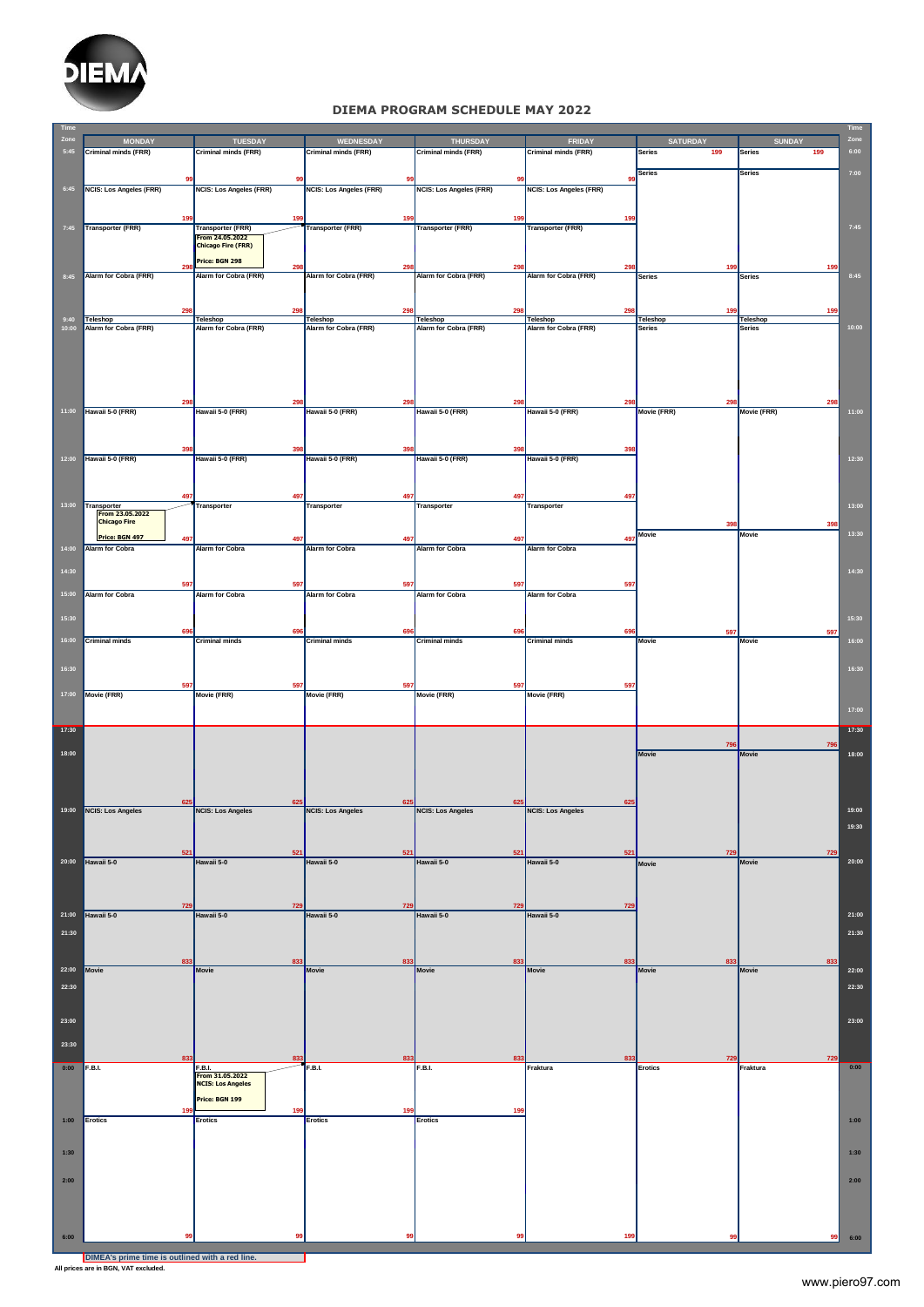

#### **DIEMA PROGRAM SCHEDULE MAY 2022**

| <b>Time</b><br>Zone | <b>MONDAY</b>                          | <b>TUESDAY</b>                               | WEDNESDAY                      | <b>THURSDAY</b>                | <b>FRIDAY</b>                | <b>SATURDAY</b>        | <b>SUNDAY</b>         | Time<br>Zone |
|---------------------|----------------------------------------|----------------------------------------------|--------------------------------|--------------------------------|------------------------------|------------------------|-----------------------|--------------|
| 5:45                | <b>Criminal minds (FRR)</b>            | <b>Criminal minds (FRR)</b>                  | <b>Criminal minds (FRR)</b>    | <b>Criminal minds (FRR)</b>    | Criminal minds (FRR)         | <b>Series</b><br>199   | <b>Series</b><br>199  | 6:00         |
|                     |                                        |                                              |                                |                                |                              |                        |                       |              |
|                     |                                        | 99                                           | 99                             | -99                            | 99                           | <b>Series</b>          | <b>Series</b>         | 7:00         |
| 6:45                | <b>NCIS: Los Angeles (FRR)</b>         | <b>NCIS: Los Angeles (FRR)</b>               | <b>NCIS: Los Angeles (FRR)</b> | <b>NCIS: Los Angeles (FRR)</b> | NCIS: Los Angeles (FRR)      |                        |                       |              |
|                     | 199                                    | 199                                          | 199                            | 199                            | 199                          |                        |                       |              |
| 7:45                | <b>Transporter (FRR)</b>               | <b>Transporter (FRR)</b>                     | Transporter (FRR)              | <b>Transporter (FRR)</b>       | Transporter (FRR)            |                        |                       | 7:45         |
|                     |                                        | From 24.05.2022<br><b>Chicago Fire (FRR)</b> |                                |                                |                              |                        |                       |              |
|                     |                                        | Price: BGN 298                               |                                |                                |                              |                        |                       |              |
| 8:45                | 29<br><b>Alarm for Cobra (FRR)</b>     | Alarm for Cobra (FRR)                        | 298<br>Alarm for Cobra (FRR)   | 298<br>Alarm for Cobra (FRR)   | 29<br>Alarm for Cobra (FRR)  | 199<br><b>Series</b>   | 199<br><b>Series</b>  | 8:45         |
|                     |                                        |                                              |                                |                                |                              |                        |                       |              |
|                     |                                        |                                              |                                |                                |                              |                        |                       |              |
| 9:40                | 29<br><b>Teleshop</b>                  | 298<br>Teleshop                              | 298<br><b>Teleshop</b>         | 298<br>Teleshop                | 29<br><b>Teleshop</b>        | 199<br><b>Teleshop</b> | 19<br><b>Teleshop</b> |              |
| 10:00               | Alarm for Cobra (FRR)                  | Alarm for Cobra (FRR)                        | <b>Alarm for Cobra (FRR)</b>   | Alarm for Cobra (FRR)          | Alarm for Cobra (FRR)        | <b>Series</b>          | <b>Series</b>         | 10:00        |
|                     |                                        |                                              |                                |                                |                              |                        |                       |              |
|                     |                                        |                                              |                                |                                |                              |                        |                       |              |
|                     |                                        |                                              |                                |                                |                              |                        |                       |              |
|                     |                                        |                                              |                                |                                |                              |                        |                       |              |
|                     | 29                                     | 29                                           | 298                            | 298                            | 298                          | 298                    | 298                   |              |
| 11:00               | Hawaii 5-0 (FRR)                       | Hawaii 5-0 (FRR)                             | Hawaii 5-0 (FRR)               | Hawaii 5-0 (FRR)               | Hawaii 5-0 (FRR)             | Movie (FRR)            | Movie (FRR)           | 11:00        |
|                     |                                        |                                              |                                |                                |                              |                        |                       |              |
|                     | 398                                    | 398                                          | 398                            | 398                            | 398                          |                        |                       |              |
| 12:00               | Hawaii 5-0 (FRR)                       | Hawaii 5-0 (FRR)                             | Hawaii 5-0 (FRR)               | Hawaii 5-0 (FRR)               | Hawaii 5-0 (FRR)             |                        |                       | 12:30        |
|                     |                                        |                                              |                                |                                |                              |                        |                       |              |
|                     | 497                                    | 497                                          | 497                            | 497                            | 497                          |                        |                       |              |
| 13:00               | Transporter                            | Transporter                                  | Transporter                    | Transporter                    | Transporter                  |                        |                       | 13:00        |
|                     | From 23.05.2022<br><b>Chicago Fire</b> |                                              |                                |                                |                              | 398                    | 398                   |              |
|                     | Price: BGN 497<br>497                  | 497                                          | 497                            | 497                            | 497                          | Movie                  | Movie                 | 13:30        |
| 14:00               | <b>Alarm for Cobra</b>                 | <b>Alarm for Cobra</b>                       | <b>Alarm for Cobra</b>         | <b>Alarm for Cobra</b>         | <b>Alarm for Cobra</b>       |                        |                       |              |
|                     |                                        |                                              |                                |                                |                              |                        |                       |              |
| 14:30               | 597                                    | 597                                          | 597                            | 597                            | 597                          |                        |                       | 14:30        |
| 15:00               | Alarm for Cobra                        | Alarm for Cobra                              | Alarm for Cobra                | Alarm for Cobra                | Alarm for Cobra              |                        |                       |              |
|                     |                                        |                                              |                                |                                |                              |                        |                       |              |
| 15:30               |                                        |                                              |                                |                                |                              |                        |                       | 15:30        |
| 16:00               | 69<br><b>Criminal minds</b>            | 696<br><b>Criminal minds</b>                 | 696<br><b>Criminal minds</b>   | 696<br><b>Criminal minds</b>   | 696<br><b>Criminal minds</b> | 597<br><b>Movie</b>    | 597<br><b>Movie</b>   | 16:00        |
|                     |                                        |                                              |                                |                                |                              |                        |                       |              |
| 16:30               |                                        |                                              |                                |                                |                              |                        |                       | 16:30        |
|                     | 597                                    | 597                                          | 597                            | 597                            | 597                          |                        |                       |              |
| 17:00               | Movie (FRR)                            | Movie (FRR)                                  | Movie (FRR)                    | Movie (FRR)                    | Movie (FRR)                  |                        |                       |              |
|                     |                                        |                                              |                                |                                |                              |                        |                       | 17:00        |
| 17:30               |                                        |                                              |                                |                                |                              |                        |                       | 17:30        |
|                     |                                        |                                              |                                |                                |                              | 796                    | 796                   |              |
| 18:00               |                                        |                                              |                                |                                |                              | Movie                  | <b>Movie</b>          | 18:00        |
|                     |                                        |                                              |                                |                                |                              |                        |                       |              |
|                     |                                        |                                              |                                |                                |                              |                        |                       |              |
|                     | 62                                     | 62                                           | 62                             | 62!                            | 625                          |                        |                       |              |
| 19:00               | <b>NCIS: Los Angeles</b>               | <b>NCIS: Los Angeles</b>                     | <b>NCIS: Los Angeles</b>       | <b>NCIS: Los Angeles</b>       | <b>NCIS: Los Angeles</b>     |                        |                       | 19:00        |
|                     |                                        |                                              |                                |                                |                              |                        |                       | 19:30        |
|                     |                                        |                                              |                                |                                |                              |                        |                       |              |
| 20:00               | 521<br>Hawaii 5-0                      | 521<br>Hawaii 5-0                            | 521<br>Hawaii 5-0              | 521<br>Hawaii 5-0              | 521<br>Hawaii 5-0            | 729<br>Movie           | 729<br><b>Movie</b>   | 20:00        |
|                     |                                        |                                              |                                |                                |                              |                        |                       |              |
|                     |                                        |                                              |                                |                                |                              |                        |                       |              |
|                     | 72!                                    | 729                                          | 729                            | 729                            | 729                          |                        |                       |              |
| 21:00               | Hawaii 5-0                             | Hawaii 5-0                                   | Hawaii 5-0                     | Hawaii 5-0                     | Hawaii 5-0                   |                        |                       | 21:00        |
| 21:30               |                                        |                                              |                                |                                |                              |                        |                       | 21:30        |
|                     |                                        |                                              |                                |                                |                              |                        |                       |              |
|                     | 833                                    | 833                                          | 833                            | 833                            | 833                          | 833                    | 833                   |              |
| 22:00               | <b>Movie</b>                           | <b>Movie</b>                                 | Movie                          | Movie                          | Movie                        | <b>Movie</b>           | <b>Movie</b>          | 22:00        |
| 22:30               |                                        |                                              |                                |                                |                              |                        |                       | 22:30        |
|                     |                                        |                                              |                                |                                |                              |                        |                       |              |
| 23:00               |                                        |                                              |                                |                                |                              |                        |                       | 23:00        |
|                     |                                        |                                              |                                |                                |                              |                        |                       |              |
| 23:30               |                                        |                                              |                                |                                |                              |                        |                       |              |
| 0:00                | 83<br>F.B.I.                           | 83<br><b>F.B.I.</b>                          | 833<br><b>F.B.I.</b>           | 833<br><b>F.B.I.</b>           | 833<br>Fraktura              | 72<br>Erotics          | 729<br>Fraktura       | 0:00         |
|                     |                                        | From 31.05.2022<br><b>NCIS: Los Angeles</b>  |                                |                                |                              |                        |                       |              |
|                     |                                        | Price: BGN 199                               |                                |                                |                              |                        |                       |              |
|                     | 199                                    | 199                                          | 199                            | 199                            |                              |                        |                       |              |
| 1:00                | Erotics                                | Erotics                                      | <b>Erotics</b>                 | <b>Erotics</b>                 |                              |                        |                       | 1:00         |
|                     |                                        |                                              |                                |                                |                              |                        |                       |              |
| 1:30                |                                        |                                              |                                |                                |                              |                        |                       | 1:30         |
|                     |                                        |                                              |                                |                                |                              |                        |                       |              |
| 2:00                |                                        |                                              |                                |                                |                              |                        |                       | 2:00         |
|                     |                                        |                                              |                                |                                |                              |                        |                       |              |
|                     |                                        |                                              |                                |                                |                              |                        |                       |              |
|                     |                                        |                                              |                                |                                |                              |                        |                       |              |
| 6:00                |                                        |                                              |                                |                                | 19                           |                        | 99                    | 6:00         |

**All prices are in BGN, VAT excluded. DIMEA's prime time is outlined with a red line.**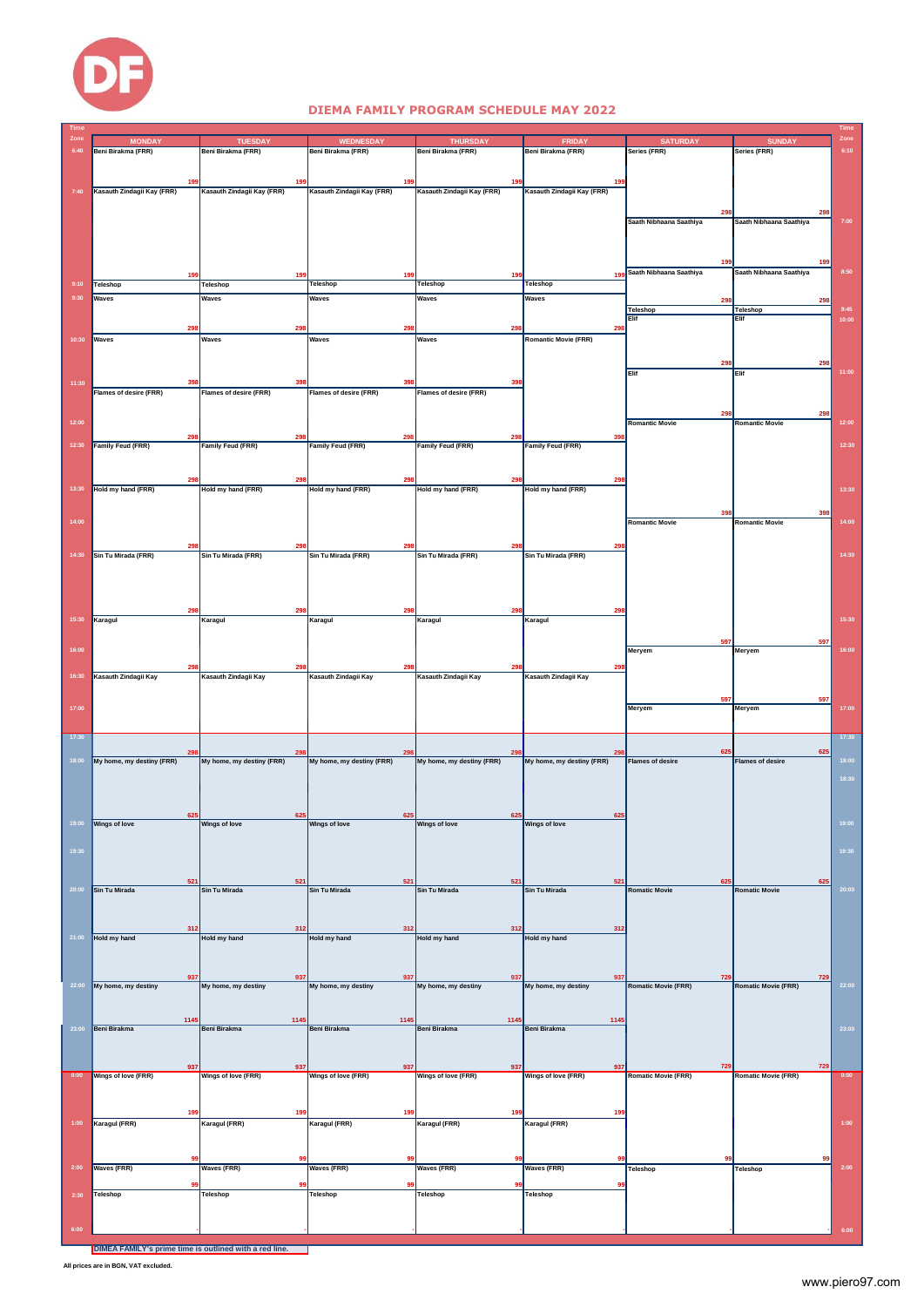

#### **DIEMA FAMILY PROGRAM SCHEDULE MAY 2022**

| 6:40  |                               |                            |                            |                            |                             |                             |                              | Time  |
|-------|-------------------------------|----------------------------|----------------------------|----------------------------|-----------------------------|-----------------------------|------------------------------|-------|
|       | <b>MONDAY</b>                 | <b>TUESDAY</b>             | <b>WEDNESDAY</b>           | <b>THURSDAY</b>            | <b>FRIDA</b>                | <b>SATURDAY</b>             | <b>SUNDAY</b>                | Zone  |
|       | Beni Birakma (FRR)            | Beni Birakma (FRR)         | Beni Birakma (FRR)         | Beni Birakma (FRR)         | Beni Birakma (FRR)          | Series (FRR)                | Series (FRR)                 | 6:10  |
|       |                               |                            |                            |                            |                             |                             |                              |       |
|       |                               |                            |                            |                            |                             |                             |                              |       |
|       | 199                           | 199                        | 199                        | 199                        | 199                         |                             |                              |       |
| 7:40  | Kasauth Zindagii Kay (FRR)    | Kasauth Zindagii Kay (FRR) | Kasauth Zindagii Kay (FRR) | Kasauth Zindagii Kay (FRR) | Kasauth Zindagii Kay (FRR)  |                             |                              |       |
|       |                               |                            |                            |                            |                             |                             |                              |       |
|       |                               |                            |                            |                            |                             | 29                          | 291                          | 7:00  |
|       |                               |                            |                            |                            |                             | Saath Nibhaana Saathiya     | Saath Nibhaana Saathiya      |       |
|       |                               |                            |                            |                            |                             |                             |                              |       |
|       |                               |                            |                            |                            |                             |                             |                              |       |
|       |                               |                            |                            |                            |                             | 19                          | 199                          |       |
|       | 19                            | 199                        | 199                        | 199                        |                             | 199 Saath Nibhaana Saathiya | Saath Nibhaana Saathiya      | 8:50  |
| 9:10  | <b>Teleshop</b>               | Teleshop                   | <b>releshop</b>            | <b>releshop</b>            | <b>releshop</b>             |                             |                              |       |
| 9:30  | <b>Waves</b>                  | Waves                      | <b>Waves</b>               | Waves                      | <b>Waves</b>                | 29                          | 29                           |       |
|       |                               |                            |                            |                            |                             | Teleshop                    | Teleshop                     | 9:45  |
|       |                               |                            |                            |                            |                             | Elif                        | Elif                         | 10:00 |
|       | 298                           | 298                        | 298                        | 298                        | 298                         |                             |                              |       |
| 10:30 | <b>Waves</b>                  | Waves                      | Waves                      | Waves                      | <b>Romantic Movie (FRR)</b> |                             |                              |       |
|       |                               |                            |                            |                            |                             |                             |                              |       |
|       |                               |                            |                            |                            |                             | 29                          | 29                           |       |
|       | 39                            | 398                        | 398                        | 398                        |                             | Elif                        | Elif                         | 11:00 |
| 11:30 | <b>Flames of desire (FRR)</b> | Flames of desire (FRR)     | Flames of desire (FRR)     | Flames of desire (FRR)     |                             |                             |                              |       |
|       |                               |                            |                            |                            |                             |                             |                              |       |
|       |                               |                            |                            |                            |                             | 29                          | 29                           |       |
| 12:00 |                               |                            |                            |                            |                             | <b>Romantic Movie</b>       | <b>Romantic Movie</b>        | 12:00 |
|       |                               | 298                        | 29                         | 298                        | 398                         |                             |                              |       |
| 12:30 | <b>Family Feud (FRR)</b>      | <b>Family Feud (FRR)</b>   | <b>Family Feud (FRR)</b>   | Family Feud (FRR)          | <b>Family Feud (FRR)</b>    |                             |                              | 12:30 |
|       |                               |                            |                            |                            |                             |                             |                              |       |
|       |                               |                            |                            |                            |                             |                             |                              |       |
|       | 29                            | 298                        | 298                        | 298                        | 298                         |                             |                              |       |
| 13:30 | Hold my hand (FRR)            | Hold my hand (FRR)         | Hold my hand (FRR)         | Hold my hand (FRR)         | Hold my hand (FRR)          |                             |                              | 13:30 |
|       |                               |                            |                            |                            |                             |                             |                              |       |
| 14:00 |                               |                            |                            |                            |                             | 39<br><b>Romantic Movie</b> | 398<br><b>Romantic Movie</b> | 14:00 |
|       |                               |                            |                            |                            |                             |                             |                              |       |
|       | 29                            | 298                        | 29                         | 298                        | 298                         |                             |                              |       |
| 14:30 | Sin Tu Mirada (FRR)           | Sin Tu Mirada (FRR)        | Sin Tu Mirada (FRR)        | Sin Tu Mirada (FRR)        | Sin Tu Mirada (FRR)         |                             |                              | 14:30 |
|       |                               |                            |                            |                            |                             |                             |                              |       |
|       |                               |                            |                            |                            |                             |                             |                              |       |
|       |                               |                            |                            |                            |                             |                             |                              |       |
|       |                               |                            |                            |                            |                             |                             |                              |       |
|       | 29                            | 298                        | 29                         | 298                        | 298                         |                             |                              |       |
| 15:30 | Karagul                       | Karagul                    | Karagul                    | Karagul                    | Karagul                     |                             |                              | 15:30 |
|       |                               |                            |                            |                            |                             |                             |                              |       |
|       |                               |                            |                            |                            |                             | 597                         | 597                          |       |
| 16:00 |                               |                            |                            |                            |                             | Meryem                      | Meryem                       | 16:00 |
|       | 29                            | 298                        | 29                         | 298                        | 298                         |                             |                              |       |
| 16:30 | Kasauth Zindagii Kay          | Kasauth Zindagii Kay       | Kasauth Zindagii Kay       | Kasauth Zindagii Kay       | Kasauth Zindagii Kay        |                             |                              |       |
|       |                               |                            |                            |                            |                             |                             |                              |       |
|       |                               |                            |                            |                            |                             | 597                         | 597                          |       |
| 17:00 |                               |                            |                            |                            |                             | Meryem                      | Meryem                       | 17:00 |
|       |                               |                            |                            |                            |                             |                             |                              |       |
| 17:30 |                               |                            |                            |                            |                             |                             |                              |       |
|       |                               |                            |                            |                            | 29                          | 625                         | 625                          |       |
| 18:00 | My home, my destiny (FRR)     | My home, my destiny (FRR)  | My home, my destiny (FRR)  | My home, my destiny (FRR)  | My home, my destiny (FRR)   | <b>Flames of desire</b>     | <b>Flames of desire</b>      | 18:00 |
|       |                               |                            |                            |                            |                             |                             |                              |       |
|       |                               |                            |                            |                            |                             |                             |                              |       |
|       |                               |                            |                            |                            |                             |                             |                              | 18:30 |
|       |                               |                            |                            |                            |                             |                             |                              |       |
|       | 625                           |                            |                            | 625                        |                             |                             |                              |       |
|       | wings of love                 | 62<br>wings of love        | 62<br>wings of love        |                            | 62<br>wings of love         |                             |                              |       |
|       |                               |                            |                            | wings of love              |                             |                             |                              |       |
|       |                               |                            |                            |                            |                             |                             |                              |       |
| 19:30 |                               |                            |                            |                            |                             |                             |                              | 19:30 |
|       |                               |                            |                            |                            |                             |                             |                              |       |
|       | 521                           | 521                        | 521                        | 521                        | 521                         | 625                         | 625                          |       |
| 20:00 | Sin Tu Mirada                 | Sin Tu Mirada              | Sin Tu Mirada              | Sin Tu Mirada              | Sin Tu Mirada               | <b>Romatic Movie</b>        | <b>Romatic Movie</b>         | 20:00 |
|       |                               |                            |                            |                            |                             |                             |                              |       |
|       |                               |                            |                            |                            |                             |                             |                              |       |
|       | 312                           | 312                        | 312                        | 312                        | 312                         |                             |                              |       |
| 21:00 | Hold my hand                  | Hold my hand               | Hold my hand               | Hold my hand               | Hold my hand                |                             |                              |       |
|       |                               |                            |                            |                            |                             |                             |                              |       |
|       |                               |                            |                            |                            |                             |                             |                              |       |
|       | 937                           | 937                        | 937                        | 937                        | 937                         | 72                          | 72                           |       |
| 22:00 | My home, my destiny           | My home, my destiny        | My home, my destiny        | My home, my destiny        | My home, my destiny         | <b>Romatic Movie (FRR)</b>  | <b>Romatic Movie (FRR)</b>   | 22:00 |
|       |                               |                            |                            |                            |                             |                             |                              |       |
|       |                               |                            |                            |                            |                             |                             |                              |       |
| 23:00 | 1145                          | 1145                       | 1145                       | 1145                       | 1145                        |                             |                              |       |
|       | Beni Birakma                  | Beni Birakma               | Beni Birakma               | Beni Birakma               | Beni Birakma                |                             |                              | 23:00 |
|       |                               |                            |                            |                            |                             |                             |                              |       |
|       |                               |                            |                            |                            |                             |                             |                              |       |
| 0:00  | 937                           | 937                        | 937                        | 937                        | 93                          | 72                          | 729                          |       |
|       | Wings of love (FRR)           | Wings of love (FRR)        | Wings of love (FRR)        | Wings of love (FRR)        | Wings of love (FRR)         | <b>Romatic Movie (FRR)</b>  | <b>Romatic Movie (FRR)</b>   | 0:00  |
|       |                               |                            |                            |                            |                             |                             |                              |       |
|       |                               |                            |                            |                            |                             |                             |                              |       |
|       | 199                           | 199                        | 199                        | 199                        | 199                         |                             |                              |       |
| 1:00  | Karagul (FRR)                 | Karagul (FRR)              | Karagul (FRR)              | Karagul (FRR)              | Karagul (FRR)               |                             |                              | 1:00  |
|       |                               |                            |                            |                            |                             |                             |                              |       |
|       |                               |                            |                            |                            |                             |                             |                              |       |
|       |                               | 99                         |                            |                            |                             |                             | 99                           |       |
| 2:00  | <b>Waves (FRR)</b>            | <b>Waves (FRR)</b>         | <b>Waves (FRR)</b>         | <b>Waves (FRR)</b>         | <b>Waves (FRR)</b>          | Teleshop                    | Teleshop                     | 2:00  |
|       |                               | 99                         | 99                         | 99                         |                             |                             |                              |       |
| 2:30  | Teleshop                      | Teleshop                   | Teleshop                   | Teleshop                   | Teleshop                    |                             |                              |       |
|       |                               |                            |                            |                            |                             |                             |                              |       |
| 6:00  |                               |                            |                            |                            |                             |                             |                              | 6:00  |

**DIMEA FAMILY's prime time is outlined with a red lin**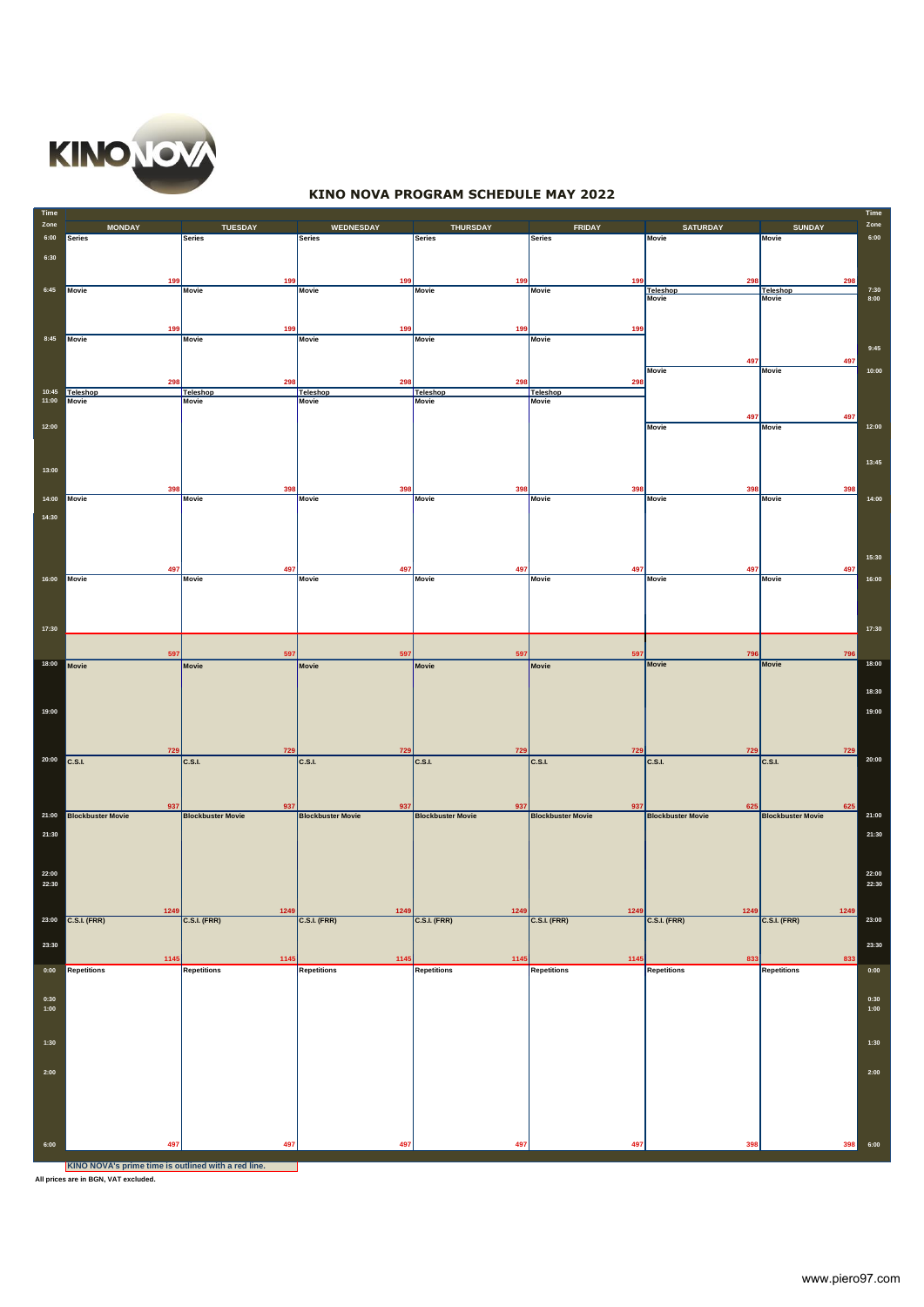

## **KINO NOVA PROGRAM SCHEDULE MAY 2022**

| <b>Time</b><br>Zone | <b>MONDAY</b>            | <b>TUESDAY</b>           | WEDNESDAY                | <b>THURSDAY</b>          | <b>FRIDAY</b>            | <b>SATURDAY</b>          | <b>SUNDAY</b>                   | <b>Time</b><br>Zone |
|---------------------|--------------------------|--------------------------|--------------------------|--------------------------|--------------------------|--------------------------|---------------------------------|---------------------|
| 6:00                | Series                   | Series                   | <b>Series</b>            | <b>Series</b>            | <b>Series</b>            | <b>Movie</b>             | <b>Movie</b>                    | 6:00                |
| 6:30                |                          |                          |                          |                          |                          |                          |                                 |                     |
|                     | 199                      | 199                      | 199                      | 199                      | 199                      | 298                      | 298                             |                     |
| 6:45                | <b>Movie</b>             | <b>Movie</b>             | <b>Movie</b>             | Movie                    | <b>Movie</b>             | Teleshop<br>Movie        | <b>Teleshop</b><br><b>Movie</b> | 7:30<br>8:00        |
|                     |                          |                          |                          |                          |                          |                          |                                 |                     |
|                     | 199                      | 199                      | 199                      | 199                      | 199                      |                          |                                 |                     |
| 8:45                | Movie                    | Movie                    | <b>Movie</b>             | Movie                    | <b>Movie</b>             |                          |                                 | 9:45                |
|                     |                          |                          |                          |                          |                          | 497<br><b>Movie</b>      | 497<br><b>Movie</b>             | 10:00               |
|                     | 298<br>Teleshop          | 298<br><b>Teleshop</b>   | 298<br><b>Teleshop</b>   | 298<br><b>Teleshop</b>   | 298<br><b>Teleshop</b>   |                          |                                 |                     |
| 10:45<br>11:00      | Movie                    | Movie                    | Movie                    | Movie                    | Movie                    |                          |                                 |                     |
| 12:00               |                          |                          |                          |                          |                          | 497<br><b>Movie</b>      | 497<br><b>Movie</b>             | 12:00               |
|                     |                          |                          |                          |                          |                          |                          |                                 |                     |
|                     |                          |                          |                          |                          |                          |                          |                                 | 13:45               |
| 13:00               |                          |                          |                          |                          |                          |                          |                                 |                     |
| 14:00               | 398<br>Movie             | 398<br>Movie             | 398<br>Movie             | 398<br><b>Movie</b>      | 398<br><b>Movie</b>      | 398<br><b>Movie</b>      | 398<br><b>Movie</b>             | 14:00               |
| 14:30               |                          |                          |                          |                          |                          |                          |                                 |                     |
|                     |                          |                          |                          |                          |                          |                          |                                 |                     |
|                     |                          |                          |                          |                          |                          |                          |                                 |                     |
|                     | 497                      | 497                      | 497                      | 497                      | 497                      | 497                      | 497                             | 15:30               |
| 16:00               | Movie                    | <b>Movie</b>             | <b>Movie</b>             | <b>Movie</b>             | Movie                    | <b>Movie</b>             | <b>Movie</b>                    | 16:00               |
|                     |                          |                          |                          |                          |                          |                          |                                 |                     |
|                     |                          |                          |                          |                          |                          |                          |                                 |                     |
| 17:30               |                          |                          |                          |                          |                          |                          |                                 | 17:30               |
|                     | 597                      | 597                      | 597                      | 597                      | 597                      | 796                      | 796                             |                     |
| 18:00               | Movie                    | Movie                    | Movie                    | Movie                    | Movie                    | <b>Movie</b>             | <b>Movie</b>                    | 18:00               |
|                     |                          |                          |                          |                          |                          |                          |                                 | 18:30               |
| 19:00               |                          |                          |                          |                          |                          |                          |                                 | 19:00               |
|                     |                          |                          |                          |                          |                          |                          |                                 |                     |
|                     | 729                      | 729                      | 729                      | 729                      | 729                      | 729                      | 729                             |                     |
| 20:00               | C.S.I.                   | C.S.I.                   | C.S.I.                   | <b>C.S.I.</b>            | C.S.I.                   | <b>C.S.I.</b>            | C.S.I.                          | 20:00               |
|                     |                          |                          |                          |                          |                          |                          |                                 |                     |
|                     | 937                      | 937                      | 937                      | 937                      | 937                      | 625                      | 625                             |                     |
| 21:00               | <b>Blockbuster Movie</b> | <b>Blockbuster Movie</b> | <b>Blockbuster Movie</b> | <b>Blockbuster Movie</b> | <b>Blockbuster Movie</b> | <b>Blockbuster Movie</b> | <b>Blockbuster Movie</b>        | 21:00               |
| 21:30               |                          |                          |                          |                          |                          |                          |                                 | 21:30               |
|                     |                          |                          |                          |                          |                          |                          |                                 |                     |
| 22:00               |                          |                          |                          |                          |                          |                          |                                 | 22:00               |
| 22:30               |                          |                          |                          |                          |                          |                          |                                 | 22:30               |
|                     | 1249                     | 1249                     | 1249                     | 1249                     | 1249                     | 1249                     | 1249                            |                     |
| 23:00               | C.S.I. (FRR)             | C.S.I. (FRR)             | C.S.I. (FRR)             | <b>C.S.I. (FRR)</b>      | C.S.I. (FRR)             | <b>C.S.I. (FRR)</b>      | <b>C.S.I. (FRR)</b>             | 23:00               |
| 23:30               |                          |                          |                          |                          |                          |                          |                                 | 23:30               |
|                     | 1143                     | 1145                     | 1145                     | 1145                     | 1145                     | 833                      | 833                             |                     |
| 0:00                | Repetitions              | Repetitions              | Repetitions              | Repetitions              | Repetitions              | <b>Repetitions</b>       | Repetitions                     | 0:00                |
| 0:30                |                          |                          |                          |                          |                          |                          |                                 | 0:30                |
| 1:00                |                          |                          |                          |                          |                          |                          |                                 | 1:00                |
|                     |                          |                          |                          |                          |                          |                          |                                 |                     |
| 1:30                |                          |                          |                          |                          |                          |                          |                                 | 1:30                |
| 2:00                |                          |                          |                          |                          |                          |                          |                                 | 2:00                |
|                     |                          |                          |                          |                          |                          |                          |                                 |                     |
|                     |                          |                          |                          |                          |                          |                          |                                 |                     |
|                     |                          |                          |                          |                          |                          |                          |                                 |                     |
| 6:00                | 49                       | 49                       | 497                      | 49                       | 49                       | 39                       | 398                             | 6:00                |
|                     |                          |                          |                          |                          |                          |                          |                                 |                     |

**All prices are in BGN, VAT excluded. KINO NOVA's prime time is outlined with a red line.**

٦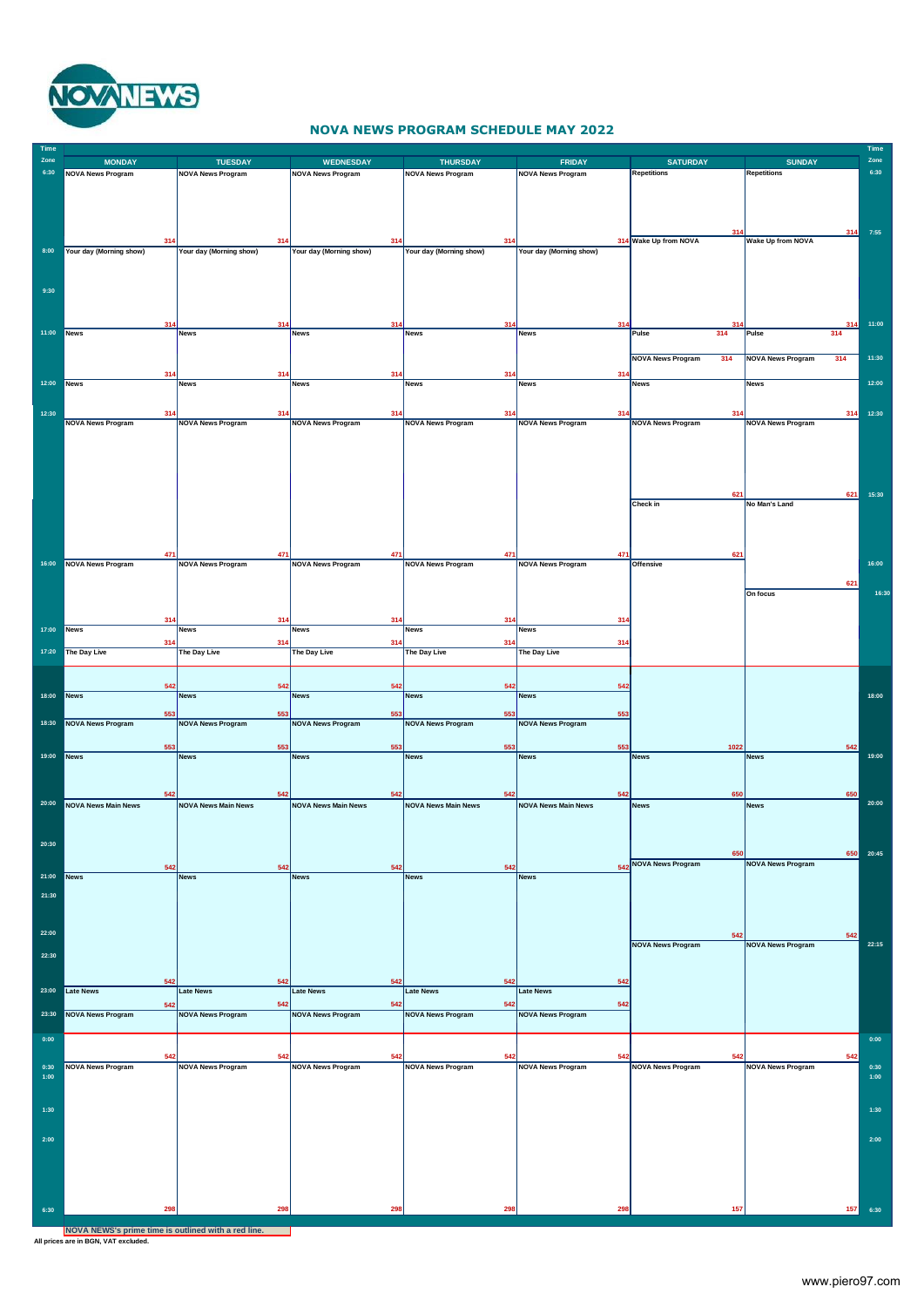

# **NOVA NEWS PROGRAM SCHEDULE MAY 2022**

| Time  |                                                     |                            |                            |                            |                            |                                 |                                 | Time            |
|-------|-----------------------------------------------------|----------------------------|----------------------------|----------------------------|----------------------------|---------------------------------|---------------------------------|-----------------|
| Zone  | <b>MONDAY</b>                                       | <b>TUESDAY</b>             | <b>WEDNESDAY</b>           | <b>THURSDAY</b>            | <b>FRIDAY</b>              | <b>SATURDAY</b>                 | <b>SUNDAY</b>                   | $\mathsf{Zone}$ |
| 6:30  | <b>NOVA News Program</b>                            | <b>NOVA News Program</b>   | <b>NOVA News Program</b>   | <b>NOVA News Program</b>   | <b>NOVA News Program</b>   | Repetitions                     | <b>Repetitions</b>              | 6:30            |
|       |                                                     |                            |                            |                            |                            |                                 |                                 |                 |
|       |                                                     |                            |                            |                            |                            |                                 |                                 |                 |
|       |                                                     |                            |                            |                            |                            |                                 |                                 |                 |
|       |                                                     |                            |                            |                            |                            |                                 |                                 |                 |
|       |                                                     |                            |                            |                            |                            |                                 | 314                             | 7:55            |
|       | 314                                                 | 31                         | 31                         | 31                         |                            | 314 Wake Up from NOVA           | <b>Wake Up from NOVA</b>        |                 |
| 8:00  | Your day (Morning show)                             | Your day (Morning show)    | Your day (Morning show)    | Your day (Morning show)    | Your day (Morning show)    |                                 |                                 |                 |
|       |                                                     |                            |                            |                            |                            |                                 |                                 |                 |
|       |                                                     |                            |                            |                            |                            |                                 |                                 |                 |
| 9:30  |                                                     |                            |                            |                            |                            |                                 |                                 |                 |
|       |                                                     |                            |                            |                            |                            |                                 |                                 |                 |
|       |                                                     |                            |                            |                            |                            |                                 |                                 |                 |
|       |                                                     |                            | 31                         | 31                         |                            |                                 | 31 <sub>0</sub>                 | 11:00           |
| 11:00 | News                                                | News                       | News                       | News                       | News                       | 314<br>Pulse                    | Pulse<br>314                    |                 |
|       |                                                     |                            |                            |                            |                            |                                 |                                 |                 |
|       |                                                     |                            |                            |                            |                            | <b>NOVA News Program</b><br>314 | <b>NOVA News Program</b><br>314 | 11:30           |
|       | 314                                                 | 314                        | 314                        | 314                        | 314                        |                                 |                                 |                 |
| 12:00 | News                                                | <b>News</b>                | <b>News</b>                | <b>News</b>                | News                       | <b>News</b>                     | <b>News</b>                     | 12:00           |
|       |                                                     |                            |                            |                            |                            |                                 |                                 |                 |
|       |                                                     |                            |                            |                            |                            |                                 |                                 |                 |
| 12:30 | 314                                                 | 314                        | 314                        | 314                        | 314                        | 314                             | 314                             | 12:30           |
|       | <b>NOVA News Program</b>                            | <b>NOVA News Program</b>   | <b>NOVA News Program</b>   | <b>NOVA News Program</b>   | <b>NOVA News Program</b>   | <b>NOVA News Program</b>        | <b>NOVA News Program</b>        |                 |
|       |                                                     |                            |                            |                            |                            |                                 |                                 |                 |
|       |                                                     |                            |                            |                            |                            |                                 |                                 |                 |
|       |                                                     |                            |                            |                            |                            |                                 |                                 |                 |
|       |                                                     |                            |                            |                            |                            |                                 |                                 |                 |
|       |                                                     |                            |                            |                            |                            |                                 |                                 |                 |
|       |                                                     |                            |                            |                            |                            | 621<br>Check in                 | 621<br>No Man's Land            | 15:30           |
|       |                                                     |                            |                            |                            |                            |                                 |                                 |                 |
|       |                                                     |                            |                            |                            |                            |                                 |                                 |                 |
|       |                                                     |                            |                            |                            |                            |                                 |                                 |                 |
|       |                                                     |                            |                            |                            |                            |                                 |                                 |                 |
|       | 471                                                 | 471                        | 471                        | 471                        | 471                        | 621                             |                                 |                 |
| 16:00 | <b>NOVA News Program</b>                            | <b>NOVA News Program</b>   | <b>NOVA News Program</b>   | <b>NOVA News Program</b>   | <b>NOVA News Program</b>   | Offensive                       |                                 | 16:00           |
|       |                                                     |                            |                            |                            |                            |                                 | 621                             |                 |
|       |                                                     |                            |                            |                            |                            |                                 | On focus                        | 16:31           |
|       |                                                     |                            |                            |                            |                            |                                 |                                 |                 |
|       | 314                                                 | 314                        | 314                        | 314                        | 314                        |                                 |                                 |                 |
| 17:00 | <b>News</b>                                         | <b>News</b>                | <b>News</b>                | <b>News</b>                | <b>News</b>                |                                 |                                 |                 |
|       | 314                                                 | 314                        | 314                        | 314                        | 314                        |                                 |                                 |                 |
| 17:20 | The Day Live                                        | The Day Live               | The Day Live               | The Day Live               | The Day Live               |                                 |                                 |                 |
|       |                                                     |                            |                            |                            |                            |                                 |                                 |                 |
|       |                                                     |                            |                            |                            |                            |                                 |                                 |                 |
|       | 542                                                 | 542                        | 542                        | 542                        | 542                        |                                 |                                 |                 |
| 18:00 | News                                                | News                       | News                       | <b>News</b>                | <b>News</b>                |                                 |                                 | 18:00           |
|       | 553                                                 | 553                        | 553                        | 553                        | 553                        |                                 |                                 |                 |
| 18:30 | <b>NOVA News Program</b>                            | <b>NOVA News Program</b>   | <b>NOVA News Program</b>   | <b>NOVA News Program</b>   | <b>NOVA News Program</b>   |                                 |                                 |                 |
|       |                                                     |                            |                            |                            |                            |                                 |                                 |                 |
|       | 553                                                 | 553                        | 553                        | 553                        | 553                        | 1022                            | 542                             |                 |
| 19:00 | News                                                | <b>News</b>                | <b>News</b>                | <b>News</b>                | <b>News</b>                | <b>News</b>                     | <b>News</b>                     | 19:00           |
|       |                                                     |                            |                            |                            |                            |                                 |                                 |                 |
|       |                                                     |                            |                            |                            |                            |                                 |                                 |                 |
|       | 542                                                 | 542                        | 542                        | 542                        | 542                        | 650                             | 650                             |                 |
| 20:00 | <b>NOVA News Main News</b>                          | <b>NOVA News Main News</b> | <b>NOVA News Main News</b> | <b>NOVA News Main News</b> | <b>NOVA News Main News</b> | <b>News</b>                     | <b>News</b>                     | 20:00           |
|       |                                                     |                            |                            |                            |                            |                                 |                                 |                 |
|       |                                                     |                            |                            |                            |                            |                                 |                                 |                 |
|       |                                                     |                            |                            |                            |                            |                                 |                                 |                 |
|       |                                                     |                            |                            |                            |                            | 650                             | 650                             | 20:45           |
|       | 542                                                 | 542                        | 542                        | 542                        | 542                        | <b>NOVA News Program</b>        | <b>NOVA News Program</b>        |                 |
| 21:00 | <b>News</b>                                         | <b>News</b>                | <b>News</b>                | <b>News</b>                | <b>News</b>                |                                 |                                 |                 |
| 21:30 |                                                     |                            |                            |                            |                            |                                 |                                 |                 |
|       |                                                     |                            |                            |                            |                            |                                 |                                 |                 |
|       |                                                     |                            |                            |                            |                            |                                 |                                 |                 |
|       |                                                     |                            |                            |                            |                            |                                 |                                 |                 |
| 22:00 |                                                     |                            |                            |                            |                            | 542                             | 542                             |                 |
|       |                                                     |                            |                            |                            |                            | <b>NOVA News Program</b>        | <b>NOVA News Program</b>        | 22:15           |
| 22:30 |                                                     |                            |                            |                            |                            |                                 |                                 |                 |
|       |                                                     |                            |                            |                            |                            |                                 |                                 |                 |
|       | 542                                                 | 542                        | 542                        | 542                        | 542                        |                                 |                                 |                 |
| 23:00 | <b>Late News</b>                                    | <b>Late News</b>           | Late News                  | Late News                  | <b>Late News</b>           |                                 |                                 |                 |
|       | 542                                                 | 542                        | 542                        | 542                        | 542                        |                                 |                                 |                 |
| 23:30 | <b>NOVA News Program</b>                            | <b>NOVA News Program</b>   | <b>NOVA News Program</b>   | <b>NOVA News Program</b>   | <b>NOVA News Program</b>   |                                 |                                 |                 |
|       |                                                     |                            |                            |                            |                            |                                 |                                 |                 |
| 0:00  |                                                     |                            |                            |                            |                            |                                 |                                 | 0:00            |
|       | 542                                                 | 542                        | 542                        | 542                        | 542                        | 542                             | 542                             |                 |
| 0:30  | <b>NOVA News Program</b>                            | <b>NOVA News Program</b>   | <b>NOVA News Program</b>   | <b>NOVA News Program</b>   | <b>NOVA News Program</b>   | <b>NOVA News Program</b>        | <b>NOVA News Program</b>        | 0:30            |
| 1:00  |                                                     |                            |                            |                            |                            |                                 |                                 | 1:00            |
|       |                                                     |                            |                            |                            |                            |                                 |                                 |                 |
|       |                                                     |                            |                            |                            |                            |                                 |                                 |                 |
| 1:30  |                                                     |                            |                            |                            |                            |                                 |                                 | 1:30            |
|       |                                                     |                            |                            |                            |                            |                                 |                                 |                 |
| 2:00  |                                                     |                            |                            |                            |                            |                                 |                                 | 2:00            |
|       |                                                     |                            |                            |                            |                            |                                 |                                 |                 |
|       |                                                     |                            |                            |                            |                            |                                 |                                 |                 |
|       |                                                     |                            |                            |                            |                            |                                 |                                 |                 |
|       |                                                     |                            |                            |                            |                            |                                 |                                 |                 |
|       |                                                     |                            |                            |                            |                            |                                 |                                 |                 |
| 6:30  | 298                                                 | 29                         | 298                        | 298                        | 29                         | 157                             | 157                             | 6:30            |
|       | NOVA NEWS's prime time is outlined with a red line. |                            |                            |                            |                            |                                 |                                 |                 |
|       |                                                     |                            |                            |                            |                            |                                 |                                 |                 |

**All prices are in BGN, VAT excluded.**